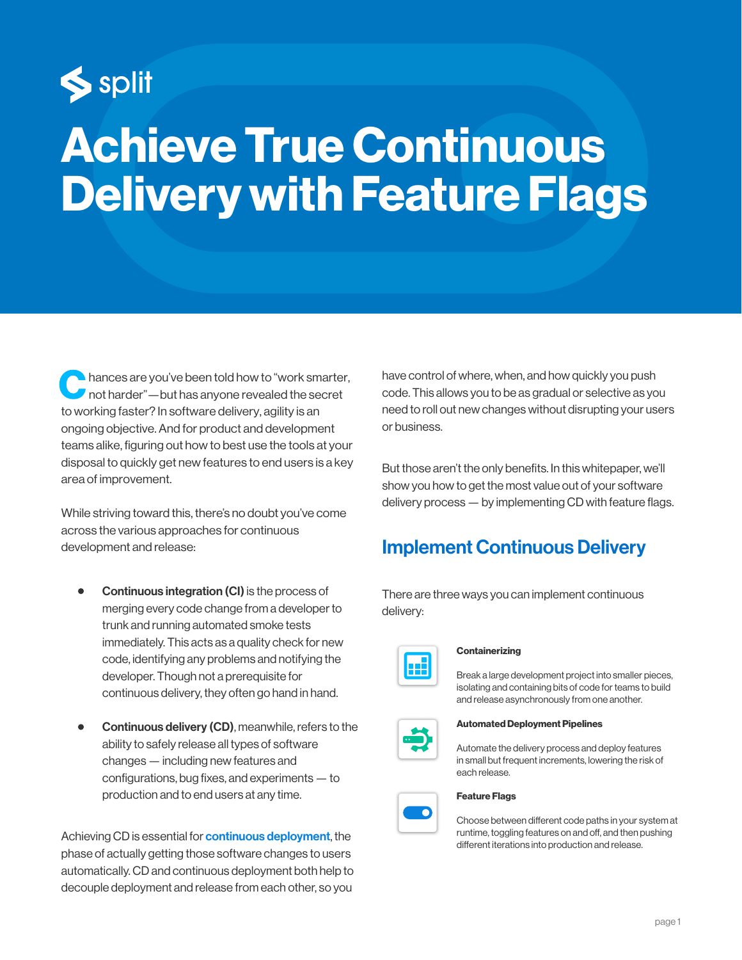

# Achieve True Continuous Delivery with Feature Flags

hances are you've been told how to "work smarter, not harder"—but has anyone revealed the secret to working faster? In software delivery, agility is an ongoing objective. And for product and development teams alike, figuring out how to best use the tools at your disposal to quickly get new features to end users is a key area of improvement.

While striving toward this, there's no doubt you've come across the various approaches for continuous development and release:

- Continuous integration (CI) is the process of merging every code change from a developer to trunk and running automated smoke tests immediately. This acts as a quality check for new code, identifying any problems and notifying the developer. Though not a prerequisite for continuous delivery, they often go hand in hand.
- Continuous delivery (CD), meanwhile, refers to the ability to safely release all types of software changes — including new features and configurations, bug fixes, and experiments — to production and to end users at any time.

Achieving CD is essential for **[continuous deployment](https://www.split.io/blog/continuous-deployment-feature-flags/)**, the phase of actually getting those software changes to users automatically. CD and continuous deployment both help to decouple deployment and release from each other, so you

have control of where, when, and how quickly you push code. This allows you to be as gradual or selective as you need to roll out new changes without disrupting your users or business.

But those aren't the only benefits. In this whitepaper, we'll show you how to get the most value out of your software delivery process — by implementing CD with feature flags.

## Implement Continuous Delivery

There are three ways you can implement continuous delivery:



#### **Containerizing**

Break a large development project into smaller pieces, isolating and containing bits of code for teams to build and release asynchronously from one another.



Automated Deployment Pipelines

Automate the delivery process and deploy features in small but frequent increments, lowering the risk of each release.

#### Feature Flags

Choose between different code paths in your system at runtime, toggling features on and off, and then pushing different iterations into production and release.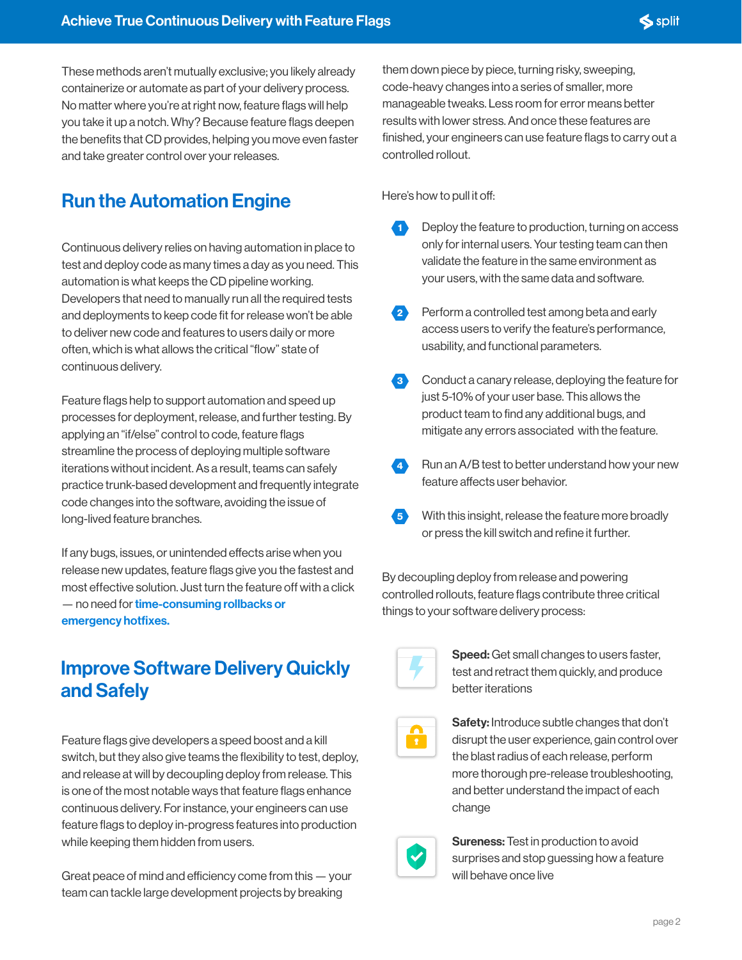These methods aren't mutually exclusive; you likely already containerize or automate as part of your delivery process. No matter where you're at right now, feature flags will help you take it up a notch. Why? Because feature flags deepen the benefits that CD provides, helping you move even faster and take greater control over your releases.

## Run the Automation Engine

Continuous delivery relies on having automation in place to test and deploy code as many times a day as you need. This automation is what keeps the CD pipeline working. Developers that need to manually run all the required tests and deployments to keep code fit for release won't be able to deliver new code and features to users daily or more often, which is what allows the critical "flow" state of continuous delivery.

Feature flags help to support automation and speed up processes for deployment, release, and further testing. By applying an "if/else" control to code, feature flags streamline the process of deploying multiple software iterations without incident. As a result, teams can safely practice trunk-based development and frequently integrate code changes into the software, avoiding the issue of long-lived feature branches.

If any bugs, issues, or unintended effects arise when you release new updates, feature flags give you the fastest and most effective solution. Just turn the feature off with a click — no need for time-consuming rollbacks or [emergency hotfixes.](https://try.split.io/hubfs/pdfs/Observability_guide-SPLIT.pdf)

## Improve Software Delivery Quickly and Safely

Feature flags give developers a speed boost and a kill switch, but they also give teams the flexibility to test, deploy, and release at will by decoupling deploy from release. This is one of the most notable ways that feature flags enhance continuous delivery. For instance, your engineers can use feature flags to deploy in-progress features into production while keeping them hidden from users.

Great peace of mind and efficiency come from this  $-$  your team can tackle large development projects by breaking

them down piece by piece, turning risky, sweeping, code-heavy changes into a series of smaller, more manageable tweaks. Less room for error means better results with lower stress. And once these features are finished, your engineers can use feature flags to carry out a controlled rollout.

Here's how to pull it off:

- 1 Deploy the feature to production, turning on access only for internal users. Your testing team can then validate the feature in the same environment as your users, with the same data and software.
- 2 Perform a controlled test among beta and early access users to verify the feature's performance, usability, and functional parameters.
- 8 Conduct a canary release, deploying the feature for just 5-10% of your user base. This allows the product team to find any additional bugs, and mitigate any errors associated with the feature.
- 4 Run an A/B test to better understand how your new feature affects user behavior.
- 5 With this insight, release the feature more broadly or press the kill switch and refine it further.

By decoupling deploy from release and powering controlled rollouts, feature flags contribute three critical things to your software delivery process:



**Speed:** Get small changes to users faster, test and retract them quickly, and produce better iterations

**Safety:** Introduce subtle changes that don't disrupt the user experience, gain control over the blast radius of each release, perform more thorough pre-release troubleshooting, and better understand the impact of each change



**Sureness: Test in production to avoid** surprises and stop guessing how a feature will behave once live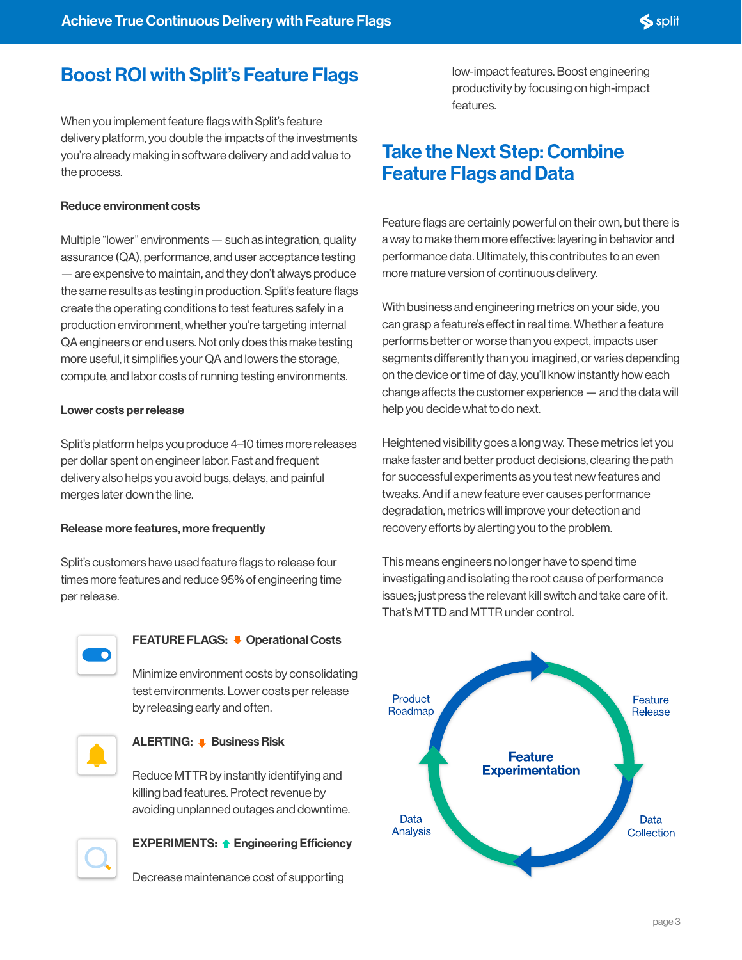## Boost ROI with Split's Feature Flags

When you implement feature flags with Split's feature delivery platform, you double the impacts of the investments you're already making in software delivery and add value to the process.

#### Reduce environment costs

Multiple "lower" environments — such as integration, quality assurance (QA), performance, and user acceptance testing — are expensive to maintain, and they don't always produce the same results as testing in production. Split's feature flags create the operating conditions to test features safely in a production environment, whether you're targeting internal QA engineers or end users. Not only does this make testing more useful, it simplifies your QA and lowers the storage, compute, and labor costs of running testing environments.

#### Lower costs per release

Split's platform helps you produce 4–10 times more releases per dollar spent on engineer labor. Fast and frequent delivery also helps you avoid bugs, delays, and painful merges later down the line.

#### Release more features, more frequently

Split's customers have used feature flags to release four times more features and reduce 95% of engineering time per release.



### FEATURE FLAGS:  $\bullet$  Operational Costs

Minimize environment costs by consolidating test environments. Lower costs per release by releasing early and often.



#### **ALERTING: ■ Business Risk**

Reduce MTTR by instantly identifying and killing bad features. Protect revenue by avoiding unplanned outages and downtime.



#### EXPERIMENTS: **1** Engineering Efficiency

Decrease maintenance cost of supporting

low-impact features. Boost engineering productivity by focusing on high-impact features.

## Take the Next Step: Combine Feature Flags and Data

Feature flags are certainly powerful on their own, but there is a way to make them more effective: layering in behavior and performance data. Ultimately, this contributes to an even more mature version of continuous delivery.

With business and engineering metrics on your side, you can grasp a feature's effect in real time. Whether a feature performs better or worse than you expect, impacts user segments differently than you imagined, or varies depending on the device or time of day, you'll know instantly how each change affects the customer experience  $-$  and the data will help you decide what to do next.

Heightened visibility goes a long way. These metrics let you make faster and better product decisions, clearing the path for successful experiments as you test new features and tweaks. And if a new feature ever causes performance degradation, metrics will improve your detection and recovery efforts by alerting you to the problem.

This means engineers no longer have to spend time investigating and isolating the root cause of performance issues; just press the relevant kill switch and take care of it. That's MTTD and MTTR under control.